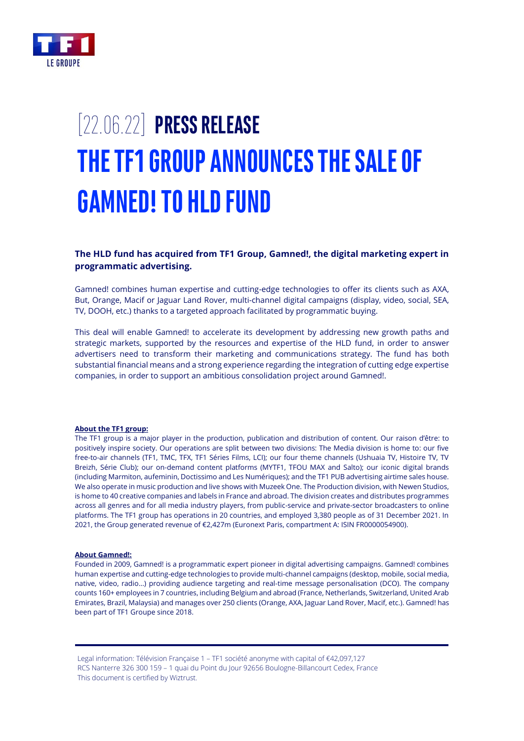

# [22.06.22] **PRESS RELEASE THE TF1 GROUP ANNOUNCES THE SALE OF GAMNED!TO HLD FUND**

## **The HLD fund has acquired from TF1 Group, Gamned!, the digital marketing expert in programmatic advertising.**

Gamned! combines human expertise and cutting-edge technologies to offer its clients such as AXA, But, Orange, Macif or Jaguar Land Rover, multi-channel digital campaigns (display, video, social, SEA, TV, DOOH, etc.) thanks to a targeted approach facilitated by programmatic buying.

This deal will enable Gamned! to accelerate its development by addressing new growth paths and strategic markets, supported by the resources and expertise of the HLD fund, in order to answer advertisers need to transform their marketing and communications strategy. The fund has both substantial financial means and a strong experience regarding the integration of cutting edge expertise companies, in order to support an ambitious consolidation project around Gamned!.

#### **About the TF1 group:**

The TF1 group is a major player in the production, publication and distribution of content. Our raison d'être: to positively inspire society. Our operations are split between two divisions: The Media division is home to: our five free-to-air channels (TF1, TMC, TFX, TF1 Séries Films, LCI); our four theme channels (Ushuaia TV, Histoire TV, TV Breizh, Série Club); our on-demand content platforms (MYTF1, TFOU MAX and Salto); our iconic digital brands (including Marmiton, aufeminin, Doctissimo and Les Numériques); and the TF1 PUB advertising airtime sales house. We also operate in music production and live shows with Muzeek One. The Production division, with Newen Studios, is home to 40 creative companies and labels in France and abroad. The division creates and distributes programmes across all genres and for all media industry players, from public-service and private-sector broadcasters to online platforms. The TF1 group has operations in 20 countries, and employed 3,380 people as of 31 December 2021. In 2021, the Group generated revenue of €2,427m (Euronext Paris, compartment A: ISIN FR0000054900).

#### **About Gamned!:**

Founded in 2009, Gamned! is a programmatic expert pioneer in digital advertising campaigns. Gamned! combines human expertise and cutting-edge technologies to provide multi-channel campaigns (desktop, mobile, social media, native, video, radio…) providing audience targeting and real-time message personalisation (DCO). The company counts 160+ employees in 7 countries, including Belgium and abroad (France, Netherlands, Switzerland, United Arab Emirates, Brazil, Malaysia) and manages over 250 clients (Orange, AXA, Jaguar Land Rover, Macif, etc.). Gamned! has been part of TF1 Groupe since 2018.

Legal information: Télévision Française 1 – TF1 société anonyme with capital of €42,097,127 RCS Nanterre 326 300 159 – 1 quai du Point du Jour 92656 Boulogne-Billancourt Cedex, France This document is certified by Wiztrust.